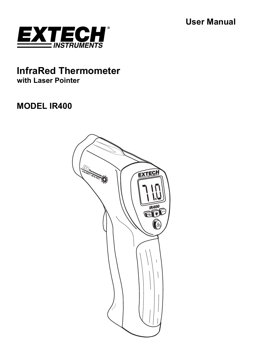**User Manual** 



# **InfraRed Thermometer with Laser Pointer**

# **MODEL IR400**

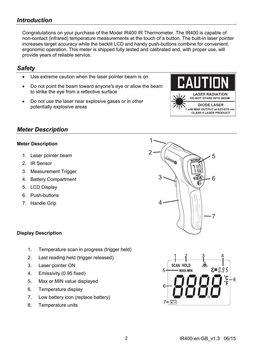## *Introduction*

Congratulations on your purchase of the Model IR400 IR Thermometer. The IR400 is capable of non-contact (infrared) temperature measurements at the touch of a button. The built-in laser pointer increases target accuracy while the backlit LCD and handy push-buttons combine for convenient, ergonomic operation. This meter is shipped fully tested and calibrated and, with proper use, will provide years of reliable service.

### *Safety*

- Use extreme caution when the laser pointer beam is on
- Do not point the beam toward anyone's eye or allow the beam to strike the eye from a reflective surface
- Do not use the laser near explosive gases or in other potentially explosive areas



### *Meter Description*

#### **Meter Description**

- 1. Laser pointer beam
- 2. IR Sensor
- 3. Measurement Trigger
- 4. Battery Compartment
- 5. LCD Display
- 6. Push-buttons
- 7. Handle Grip



#### **Display Description**

- 1. Temperature scan in progress (trigger held)
- 2. Last reading held (trigger released)
- 3. Laser pointer ON
- 4. Emissivity (0.95 fixed)
- 5. Max or MIN value displayed
- 6. Temperature display
- 7. Low battery icon (replace battery)
- 8. Temperature units

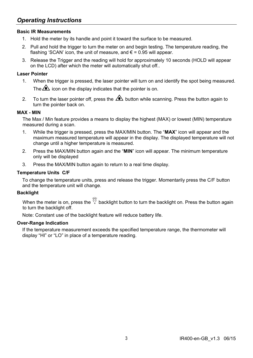## *Operating Instructions*

#### **Basic IR Measurements**

- 1. Hold the meter by its handle and point it toward the surface to be measured.
- 2. Pull and hold the trigger to turn the meter on and begin testing. The temperature reading, the flashing 'SCAN' icon, the unit of measure, and  $\epsilon$  = 0.95 will appear.
- 3. Release the Trigger and the reading will hold for approximately 10 seconds (HOLD will appear on the LCD) after which the meter will automatically shut off..

#### **Laser Pointer**

- 1. When the trigger is pressed, the laser pointer will turn on and identify the spot being measured. The  $\triangle$  icon on the display indicates that the pointer is on.
- 2. To turn the laser pointer off, press the  $\bigotimes$  button while scanning. Press the button again to turn the pointer back on.

#### **MAX - MIN**

The Max / Min feature provides a means to display the highest (MAX) or lowest (MIN) temperature measured during a scan.

- 1. While the trigger is pressed, press the MAX/MIN button. The "**MAX**" icon will appear and the maximum measured temperature will appear in the display. The displayed temperature will not change until a higher temperature is measured.
- 2. Press the MAX/MIN button again and the "**MIN**" icon will appear. The minimum temperature only will be displayed
- 3. Press the MAX/MIN button again to return to a real time display.

#### **Temperature Units C/F**

To change the temperature units, press and release the trigger. Momentarily press the C/F button and the temperature unit will change.

#### **Backlight**

When the meter is on, press the  $\check{\check{\mathbb{V}}}$  backlight button to turn the backlight on. Press the button again to turn the backlight off.

Note: Constant use of the backlight feature will reduce battery life.

#### **Over-Range Indication**

If the temperature measurement exceeds the specified temperature range, the thermometer will display "HI" or "LO" in place of a temperature reading.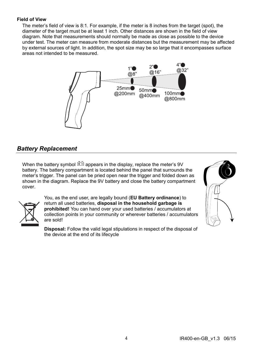#### **Field of View**

The meter's field of view is 8:1. For example, if the meter is 8 inches from the target (spot), the diameter of the target must be at least 1 inch. Other distances are shown in the field of view diagram. Note that measurements should normally be made as close as possible to the device under test. The meter can measure from moderate distances but the measurement may be affected by external sources of light. In addition, the spot size may be so large that it encompasses surface areas not intended to be measured.



## *Battery Replacement*

When the battery symbol  $\mathbb{H}^1$  appears in the display, replace the meter's 9V battery. The battery compartment is located behind the panel that surrounds the meter's trigger. The panel can be pried open near the trigger and folded down as shown in the diagram. Replace the 9V battery and close the battery compartment cover.



You, as the end user, are legally bound (**EU Battery ordinance**) to return all used batteries, **disposal in the household garbage is prohibited!** You can hand over your used batteries / accumulators at collection points in your community or wherever batteries / accumulators are sold!

**Disposal:** Follow the valid legal stipulations in respect of the disposal of the device at the end of its lifecycle

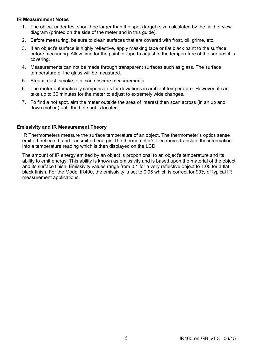#### **IR Measurement Notes**

- 1. The object under test should be larger than the spot (target) size calculated by the field of view diagram (printed on the side of the meter and in this guide).
- 2. Before measuring, be sure to clean surfaces that are covered with frost, oil, grime, etc.
- 3. If an object's surface is highly reflective, apply masking tape or flat black paint to the surface before measuring. Allow time for the paint or tape to adjust to the temperature of the surface it is covering.
- 4. Measurements can not be made through transparent surfaces such as glass. The surface temperature of the glass will be measured.
- 5. Steam, dust, smoke, etc. can obscure measurements.
- 6. The meter automatically compensates for deviations in ambient temperature. However, it can take up to 30 minutes for the meter to adjust to extremely wide changes.
- 7. To find a hot spot, aim the meter outside the area of interest then scan across (in an up and down motion) until the hot spot is located.

#### **Emissivity and IR Measurement Theory**

IR Thermometers measure the surface temperature of an object. The thermometer's optics sense emitted, reflected, and transmitted energy. The thermometer's electronics translate the information into a temperature reading which is then displayed on the LCD.

The amount of IR energy emitted by an object is proportional to an object's temperature and its ability to emit energy. This ability is known as emissivity and is based upon the material of the object and its surface finish. Emissivity values range from 0.1 for a very reflective object to 1.00 for a flat black finish. For the Model IR400, the emissivity is set to 0.95 which is correct for 90% of typical IR measurement applications.